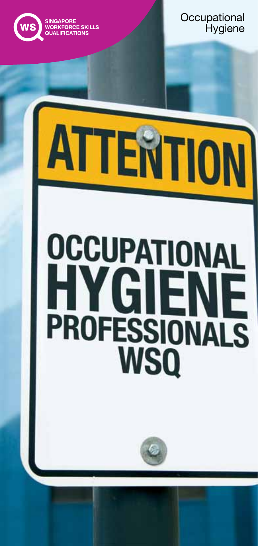

Occupational Hygiene Occupational **Hygiene** 

# **OCCUPATIONAL** YGIENE **PROFESSIONALS WSQ**

ATTENTION

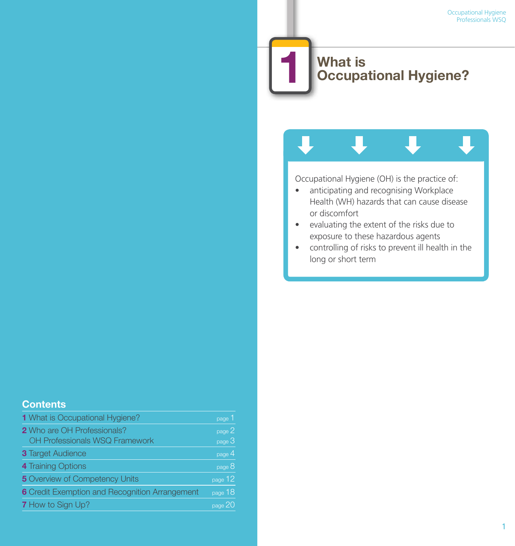# **What is Occupational Hygiene?**

Occupational Hygiene (OH) is the practice of:

- anticipating and recognising Workplace Health (WH) hazards that can cause disease or discomfort
- • evaluating the extent of the risks due to exposure to these hazardous agents
- • controlling of risks to prevent ill health in the long or short term

### **Contents**

| 1 What is Occupational Hygiene?                                      | page 1                |
|----------------------------------------------------------------------|-----------------------|
| <b>2</b> Who are OH Professionals?<br>OH Professionals WSQ Framework | page 2<br>page 3      |
| <b>3 Target Audience</b>                                             | page 4                |
| 4 Training Options                                                   | $_{\text{page}}$ $8'$ |
| <b>5</b> Overview of Competency Units                                | $_{\text{page}}$ 12   |
| 6 Credit Exemption and Recognition Arrangement                       | page 18               |
| <b>7</b> How to Sign Up?                                             | page $20$             |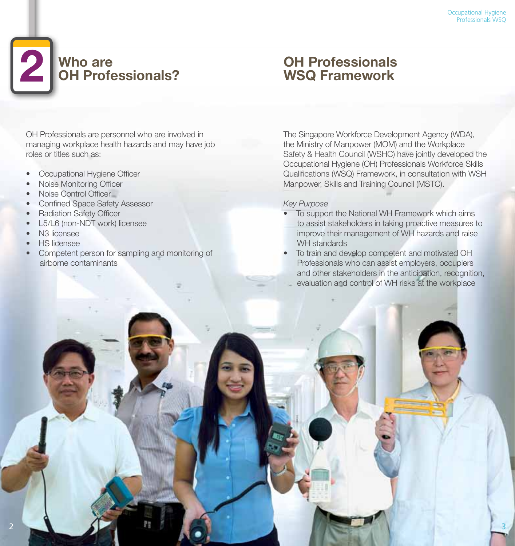# **Who are OH Professionals?**

OH Professionals are personnel who are involved in managing workplace health hazards and may have job roles or titles such as:

- Occupational Hygiene Officer
- Noise Monitoring Officer
- Noise Control Officer
- Confined Space Safety Assessor
- Radiation Safety Officer
- L5/L6 (non-NDT work) licensee
- N3 licensee
- HS licensee
- Competent person for sampling and monitoring of airborne contaminants

# **OH Professionals WSQ Framework**

The Singapore Workforce Development Agency (WDA), the Ministry of Manpower (MOM) and the Workplace Safety & Health Council (WSHC) have jointly developed the Occupational Hygiene (OH) Professionals Workforce Skills Qualifications (WSQ) Framework, in consultation with WSH Manpower, Skills and Training Council (MSTC).

### *Key Purpose*

- To support the National WH Framework which aims to assist stakeholders in taking proactive measures to improve their management of WH hazards and raise WH standards
- To train and develop competent and motivated OH Professionals who can assist employers, occupiers and other stakeholders in the anticipation, recognition, evaluation and control of WH risks at the workplace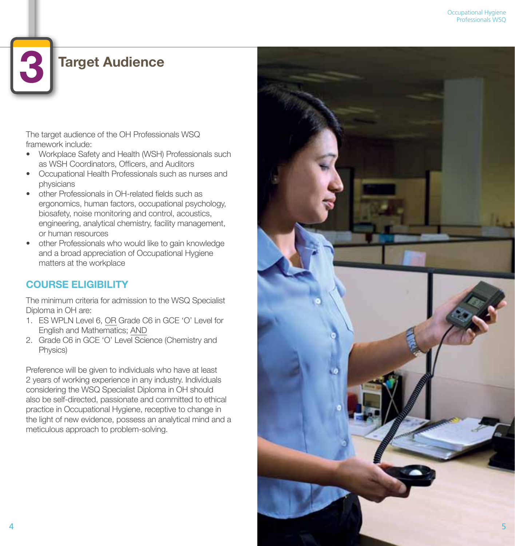# **Target Audience**

The target audience of the OH Professionals WSQ framework include:

- Workplace Safety and Health (WSH) Professionals such as WSH Coordinators, Officers, and Auditors
- Occupational Health Professionals such as nurses and physicians
- other Professionals in OH-related fields such as ergonomics, human factors, occupational psychology, biosafety, noise monitoring and control, acoustics, engineering, analytical chemistry, facility management, or human resources
- other Professionals who would like to gain knowledge and a broad appreciation of Occupational Hygiene matters at the workplace

# **COURSE ELIGIBILITY**

The minimum criteria for admission to the WSQ Specialist Diploma in OH are:

- 1. ES WPLN Level 6, OR Grade C6 in GCE 'O' Level for English and Mathematics; AND
- 2. Grade C6 in GCE 'O' Level Science (Chemistry and Physics)

Preference will be given to individuals who have at least 2 years of working experience in any industry. Individuals considering the WSQ Specialist Diploma in OH should also be self-directed, passionate and committed to ethical practice in Occupational Hygiene, receptive to change in the light of new evidence, possess an analytical mind and a meticulous approach to problem-solving.

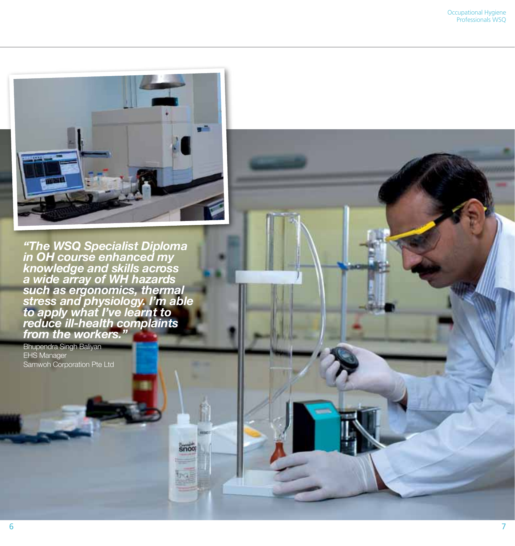

*"The WSQ Specialist Diploma in OH course enhanced my knowledge and skills across a wide array of WH hazards such as ergonomics, thermal stress and physiology. I'm able to apply what I've learnt to reduce ill-health complaints from the workers."*

snoot

Bhupendra Singh Baliyan EHS Manager Samwoh Corporation Pte Ltd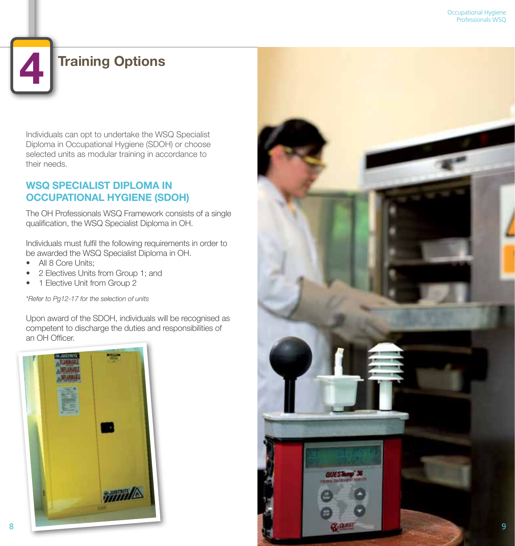# **Training Options**

Individuals can opt to undertake the WSQ Specialist Diploma in Occupational Hygiene (SDOH) or choose selected units as modular training in accordance to their needs.

# **WSQ SPECIALIST DIPLOMA IN OCCUPATIONAL HYGIENE (SDOH)**

The OH Professionals WSQ Framework consists of a single qualification, the WSQ Specialist Diploma in OH.

Individuals must fulfil the following requirements in order to be awarded the WSQ Specialist Diploma in OH.

- All 8 Core Units:
- 2 Electives Units from Group 1; and
- 1 Elective Unit from Group 2

*\*Refer to Pg12-17 for the selection of units*

Upon award of the SDOH, individuals will be recognised as competent to discharge the duties and responsibilities of an OH Officer.



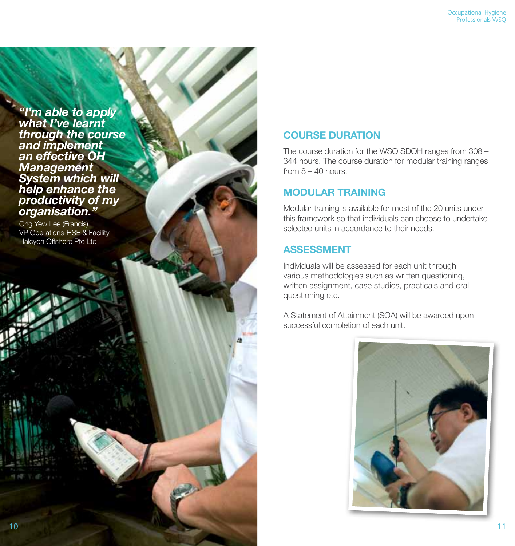*"I'm able to apply what I've learnt through the course and implement an effective OH Management System which will help enhance the productivity of my organisation."*

Ong Yew Lee (Francis) VP Operations-HSE & Facility Halcyon Offshore Pte Ltd

### **COURSE DURATION**

The course duration for the WSQ SDOH ranges from 308 – 344 hours. The course duration for modular training ranges from  $8 - 40$  hours.

### **MODULAR TRAINING**

Modular training is available for most of the 20 units under this framework so that individuals can choose to undertake selected units in accordance to their needs.

### **ASSESSMENT**

Individuals will be assessed for each unit through various methodologies such as written questioning, written assignment, case studies, practicals and oral questioning etc.

A Statement of Attainment (SOA) will be awarded upon successful completion of each unit.

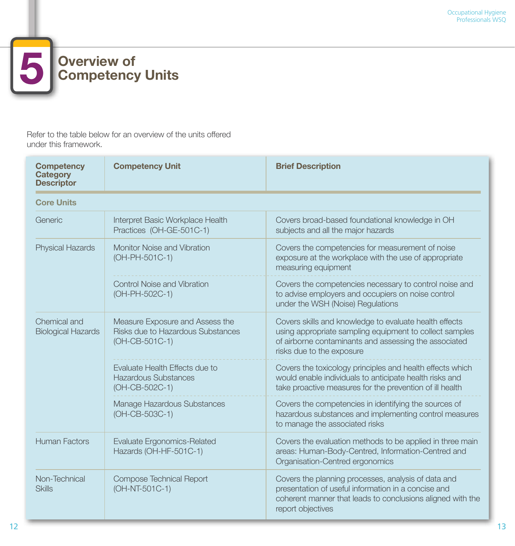# 5 **Overview of Competency Units**

Refer to the table below for an overview of the units offered under this framework.

| <b>Competency</b><br><b>Category</b><br><b>Descriptor</b> | <b>Competency Unit</b>                                                                 | <b>Brief Description</b>                                                                                                                                                                                |  |  |
|-----------------------------------------------------------|----------------------------------------------------------------------------------------|---------------------------------------------------------------------------------------------------------------------------------------------------------------------------------------------------------|--|--|
| <b>Core Units</b>                                         |                                                                                        |                                                                                                                                                                                                         |  |  |
| Generic                                                   | Interpret Basic Workplace Health<br>Practices (OH-GE-501C-1)                           | Covers broad-based foundational knowledge in OH<br>subjects and all the major hazards                                                                                                                   |  |  |
| <b>Physical Hazards</b>                                   | Monitor Noise and Vibration<br>(OH-PH-501C-1)                                          | Covers the competencies for measurement of noise<br>exposure at the workplace with the use of appropriate<br>measuring equipment                                                                        |  |  |
|                                                           | <b>Control Noise and Vibration</b><br>(OH-PH-502C-1)                                   | Covers the competencies necessary to control noise and<br>to advise employers and occupiers on noise control<br>under the WSH (Noise) Regulations                                                       |  |  |
| Chemical and<br><b>Biological Hazards</b>                 | Measure Exposure and Assess the<br>Risks due to Hazardous Substances<br>(OH-CB-501C-1) | Covers skills and knowledge to evaluate health effects<br>using appropriate sampling equipment to collect samples<br>of airborne contaminants and assessing the associated<br>risks due to the exposure |  |  |
|                                                           | Evaluate Health Effects due to<br>Hazardous Substances<br>(OH-CB-502C-1)               | Covers the toxicology principles and health effects which<br>would enable individuals to anticipate health risks and<br>take proactive measures for the prevention of ill health                        |  |  |
|                                                           | Manage Hazardous Substances<br>(OH-CB-503C-1)                                          | Covers the competencies in identifying the sources of<br>hazardous substances and implementing control measures<br>to manage the associated risks                                                       |  |  |
| <b>Human Factors</b>                                      | <b>Evaluate Ergonomics-Related</b><br>Hazards (OH-HF-501C-1)                           | Covers the evaluation methods to be applied in three main<br>areas: Human-Body-Centred, Information-Centred and<br>Organisation-Centred ergonomics                                                      |  |  |
| Non-Technical<br><b>Skills</b>                            | <b>Compose Technical Report</b><br>(OH-NT-501C-1)                                      | Covers the planning processes, analysis of data and<br>presentation of useful information in a concise and<br>coherent manner that leads to conclusions aligned with the<br>report objectives           |  |  |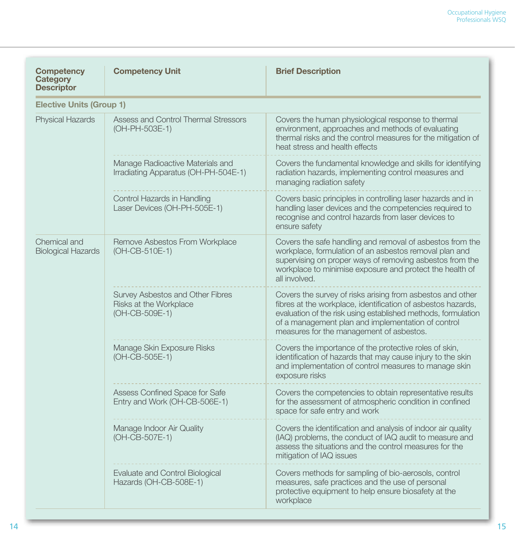| <b>Competency</b><br>Category<br><b>Descriptor</b> | <b>Competency Unit</b>                                                       | <b>Brief Description</b>                                                                                                                                                                                                                                                                      |
|----------------------------------------------------|------------------------------------------------------------------------------|-----------------------------------------------------------------------------------------------------------------------------------------------------------------------------------------------------------------------------------------------------------------------------------------------|
| <b>Elective Units (Group 1)</b>                    |                                                                              |                                                                                                                                                                                                                                                                                               |
| <b>Physical Hazards</b>                            | Assess and Control Thermal Stressors<br>(OH-PH-503E-1)                       | Covers the human physiological response to thermal<br>environment, approaches and methods of evaluating<br>thermal risks and the control measures for the mitigation of<br>heat stress and health effects                                                                                     |
|                                                    | Manage Radioactive Materials and<br>Irradiating Apparatus (OH-PH-504E-1)     | Covers the fundamental knowledge and skills for identifying<br>radiation hazards, implementing control measures and<br>managing radiation safety                                                                                                                                              |
|                                                    | Control Hazards in Handling<br>Laser Devices (OH-PH-505E-1)                  | Covers basic principles in controlling laser hazards and in<br>handling laser devices and the competencies required to<br>recognise and control hazards from laser devices to<br>ensure safety                                                                                                |
| Chemical and<br><b>Biological Hazards</b>          | Remove Asbestos From Workplace<br>(OH-CB-510E-1)                             | Covers the safe handling and removal of asbestos from the<br>workplace, formulation of an asbestos removal plan and<br>supervising on proper ways of removing asbestos from the<br>workplace to minimise exposure and protect the health of<br>all involved.                                  |
|                                                    | Survey Asbestos and Other Fibres<br>Risks at the Workplace<br>(OH-CB-509E-1) | Covers the survey of risks arising from asbestos and other<br>fibres at the workplace, identification of asbestos hazards,<br>evaluation of the risk using established methods, formulation<br>of a management plan and implementation of control<br>measures for the management of asbestos. |
|                                                    | Manage Skin Exposure Risks<br>(OH-CB-505E-1)                                 | Covers the importance of the protective roles of skin,<br>identification of hazards that may cause injury to the skin<br>and implementation of control measures to manage skin<br>exposure risks                                                                                              |
|                                                    | Assess Confined Space for Safe<br>Entry and Work (OH-CB-506E-1)              | Covers the competencies to obtain representative results<br>for the assessment of atmospheric condition in confined<br>space for safe entry and work                                                                                                                                          |
|                                                    | Manage Indoor Air Quality<br>(OH-CB-507E-1)                                  | Covers the identification and analysis of indoor air quality<br>(IAQ) problems, the conduct of IAQ audit to measure and<br>assess the situations and the control measures for the<br>mitigation of IAQ issues                                                                                 |
|                                                    | Evaluate and Control Biological<br>Hazards (OH-CB-508E-1)                    | Covers methods for sampling of bio-aerosols, control<br>measures, safe practices and the use of personal<br>protective equipment to help ensure biosafety at the<br>workplace                                                                                                                 |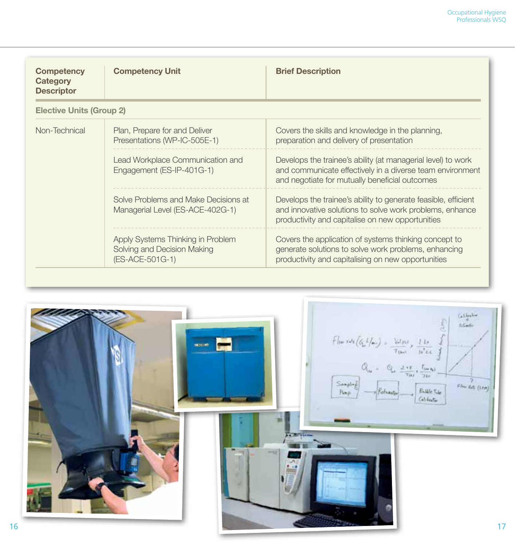| <b>Competency</b><br>Category<br><b>Descriptor</b> | <b>Competency Unit</b>                                                              | <b>Brief Description</b>                                                                                                                                                       |  |
|----------------------------------------------------|-------------------------------------------------------------------------------------|--------------------------------------------------------------------------------------------------------------------------------------------------------------------------------|--|
| <b>Elective Units (Group 2)</b>                    |                                                                                     |                                                                                                                                                                                |  |
| Non-Technical                                      | Plan, Prepare for and Deliver<br>Presentations (WP-IC-505E-1)                       | Covers the skills and knowledge in the planning,<br>preparation and delivery of presentation                                                                                   |  |
|                                                    | Lead Workplace Communication and<br>Engagement (ES-IP-401G-1)                       | Develops the trainee's ability (at managerial level) to work<br>and communicate effectively in a diverse team environment<br>and negotiate for mutually beneficial outcomes    |  |
|                                                    | Solve Problems and Make Decisions at<br>Managerial Level (ES-ACE-402G-1)            | Develops the trainee's ability to generate feasible, efficient<br>and innovative solutions to solve work problems, enhance<br>productivity and capitalise on new opportunities |  |
|                                                    | Apply Systems Thinking in Problem<br>Solving and Decision Making<br>(ES-ACE-501G-1) | Covers the application of systems thinking concept to<br>generate solutions to solve work problems, enhancing<br>productivity and capitalising on new opportunities            |  |

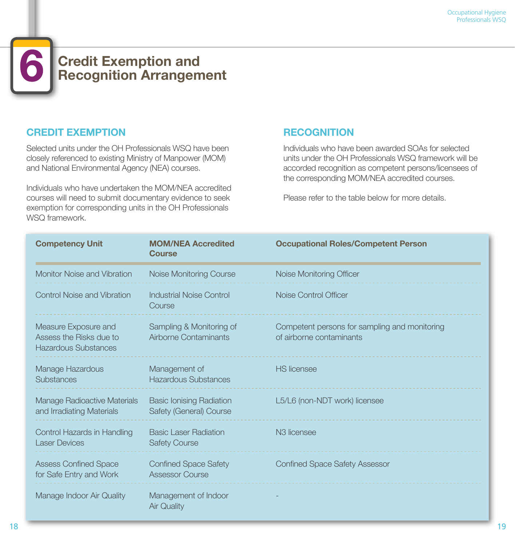# **Credit Exemption and Recognition Arrangement**

### **CREDIT EXEMPTION**

Selected units under the OH Professionals WSQ have been closely referenced to existing Ministry of Manpower (MOM) and National Environmental Agency (NEA) courses.

Individuals who have undertaken the MOM/NEA accredited courses will need to submit documentary evidence to seek exemption for corresponding units in the OH Professionals WSQ framework.

# **RECOGNITION**

Individuals who have been awarded SOAs for selected units under the OH Professionals WSQ framework will be accorded recognition as competent persons/licensees of the corresponding MOM/NEA accredited courses.

Please refer to the table below for more details.

| <b>Competency Unit</b>                                                  | <b>MOM/NEA Accredited</b><br><b>Course</b>                 | <b>Occupational Roles/Competent Person</b>                                |
|-------------------------------------------------------------------------|------------------------------------------------------------|---------------------------------------------------------------------------|
| Monitor Noise and Vibration                                             | Noise Monitoring Course                                    | Noise Monitoring Officer                                                  |
| <b>Control Noise and Vibration</b>                                      | <b>Industrial Noise Control</b><br>Course                  | Noise Control Officer                                                     |
| Measure Exposure and<br>Assess the Risks due to<br>Hazardous Substances | Sampling & Monitoring of<br>Airborne Contaminants          | Competent persons for sampling and monitoring<br>of airborne contaminants |
| Manage Hazardous<br><b>Substances</b>                                   | Management of<br><b>Hazardous Substances</b>               | <b>HS</b> licensee                                                        |
| <b>Manage Radioactive Materials</b><br>and Irradiating Materials        | <b>Basic lonising Radiation</b><br>Safety (General) Course | L5/L6 (non-NDT work) licensee                                             |
| Control Hazards in Handling<br><b>Laser Devices</b>                     | <b>Basic Laser Radiation</b><br><b>Safety Course</b>       | N <sub>3</sub> licensee                                                   |
| <b>Assess Confined Space</b><br>for Safe Entry and Work                 | <b>Confined Space Safety</b><br><b>Assessor Course</b>     | <b>Confined Space Safety Assessor</b>                                     |
| Manage Indoor Air Quality                                               | Management of Indoor<br><b>Air Quality</b>                 |                                                                           |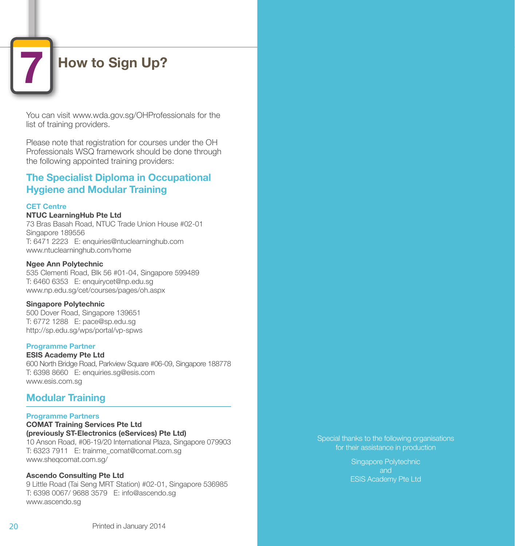# **How to Sign Up?**

You can visit www.wda.gov.sg/OHProfessionals for the list of training providers.

Please note that registration for courses under the OH Professionals WSQ framework should be done through the following appointed training providers:

### **The Specialist Diploma in Occupational Hygiene and Modular Training**

### **CET Centre**

#### **NTUC LearningHub Pte Ltd**

73 Bras Basah Road, NTUC Trade Union House #02-01 Singapore 189556 T: 6471 2223 E: enquiries@ntuclearninghub.com www.ntuclearninghub.com/home

#### **Ngee Ann Polytechnic**

535 Clementi Road, Blk 56 #01-04, Singapore 599489 T: 6460 6353 E: enquirycet@np.edu.sg www.np.edu.sg/cet/courses/pages/oh.aspx

#### **Singapore Polytechnic**

500 Dover Road, Singapore 139651 T: 6772 1288 E: pace@sp.edu.sg http://sp.edu.sg/wps/portal/vp-spws

### **Programme Partner**

#### **ESIS Academy Pte Ltd**

600 North Bridge Road, Parkview Square #06-09, Singapore 188778 T: 6398 8660 E: enquiries.sg@esis.com www.esis.com.sg

### **Modular Training**

#### **Programme Partners**

**COMAT Training Services Pte Ltd (previously ST-Electronics (eServices) Pte Ltd)** 10 Anson Road, #06-19/20 International Plaza, Singapore 079903

T: 6323 7911 E: trainme\_comat@comat.com.sg www.sheqcomat.com.sg/

### **Ascendo Consulting Pte Ltd**

9 Little Road (Tai Seng MRT Station) #02-01, Singapore 536985 T: 6398 0067/ 9688 3579 E: info@ascendo.sg www.ascendo.sg

Special thanks to the following organisations for their assistance in production

> Singapore Polytechnic and ESIS Academy Pte Ltd